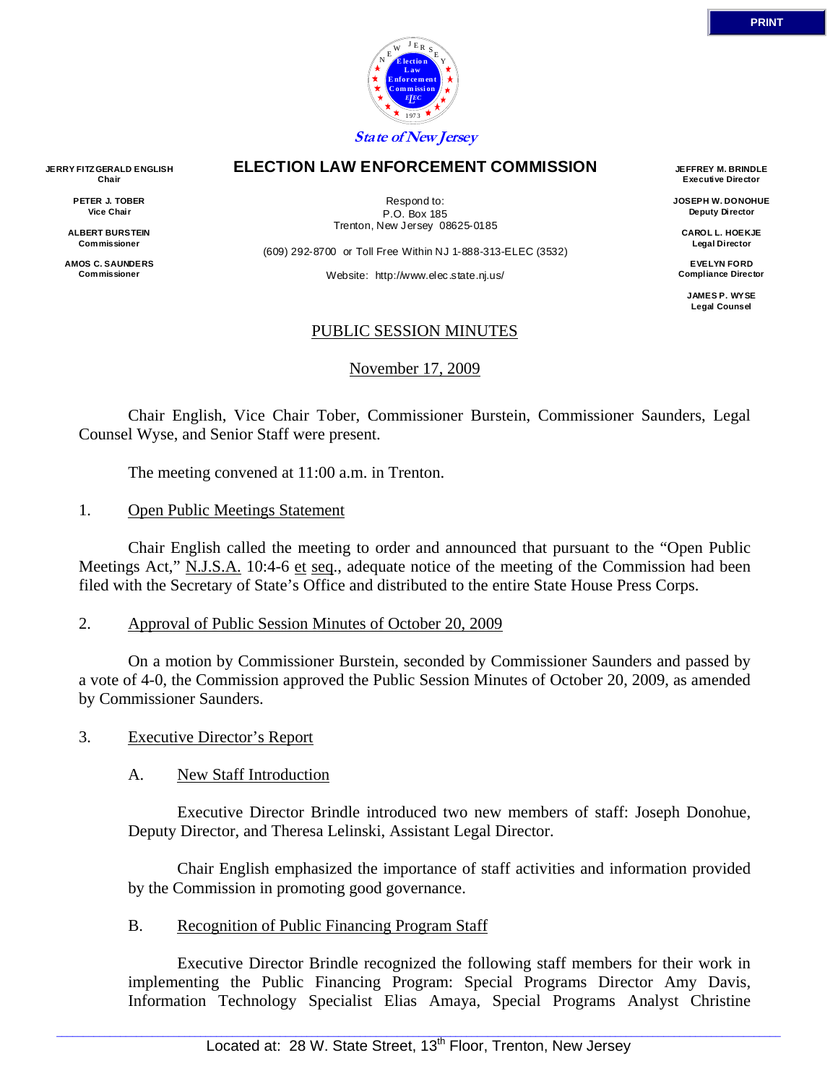

#### **ELECTION LAW ENFORCEMENT COMMISSION**

Respond to: P.O. Box 185 Trenton, New Jersey 08625-0185

(609) 292-8700 or Toll Free Within NJ 1-888-313-ELEC (3532)

Website: http://www.elec.state.nj.us/

**JEFFREY M. BRINDLE Executive Director** 

**JOSEPH W. DONOHUE Deputy Director** 

**CAROL L. HOEKJE Legal Director** 

**EVELYN FORD Compliance Director** 

> **JAMES P. WYSE Legal Counsel**

# PUBLIC SESSION MINUTES

November 17, 2009

 Chair English, Vice Chair Tober, Commissioner Burstein, Commissioner Saunders, Legal Counsel Wyse, and Senior Staff were present.

The meeting convened at 11:00 a.m. in Trenton.

# 1. Open Public Meetings Statement

 Chair English called the meeting to order and announced that pursuant to the "Open Public Meetings Act," N.J.S.A. 10:4-6 et seq., adequate notice of the meeting of the Commission had been filed with the Secretary of State's Office and distributed to the entire State House Press Corps.

2. Approval of Public Session Minutes of October 20, 2009

 On a motion by Commissioner Burstein, seconded by Commissioner Saunders and passed by a vote of 4-0, the Commission approved the Public Session Minutes of October 20, 2009, as amended by Commissioner Saunders.

- 3. Executive Director's Report
	- A. New Staff Introduction

 Executive Director Brindle introduced two new members of staff: Joseph Donohue, Deputy Director, and Theresa Lelinski, Assistant Legal Director.

 Chair English emphasized the importance of staff activities and information provided by the Commission in promoting good governance.

#### B. Recognition of Public Financing Program Staff

 Executive Director Brindle recognized the following staff members for their work in implementing the Public Financing Program: Special Programs Director Amy Davis, Information Technology Specialist Elias Amaya, Special Programs Analyst Christine

**JERRY FITZ GERALD ENGLISH Chair** 

> **PETER J. TOBER Vice Chair**

**ALBERT BURSTEIN Commissioner** 

**AMOS C. SAUNDERS Commissioner**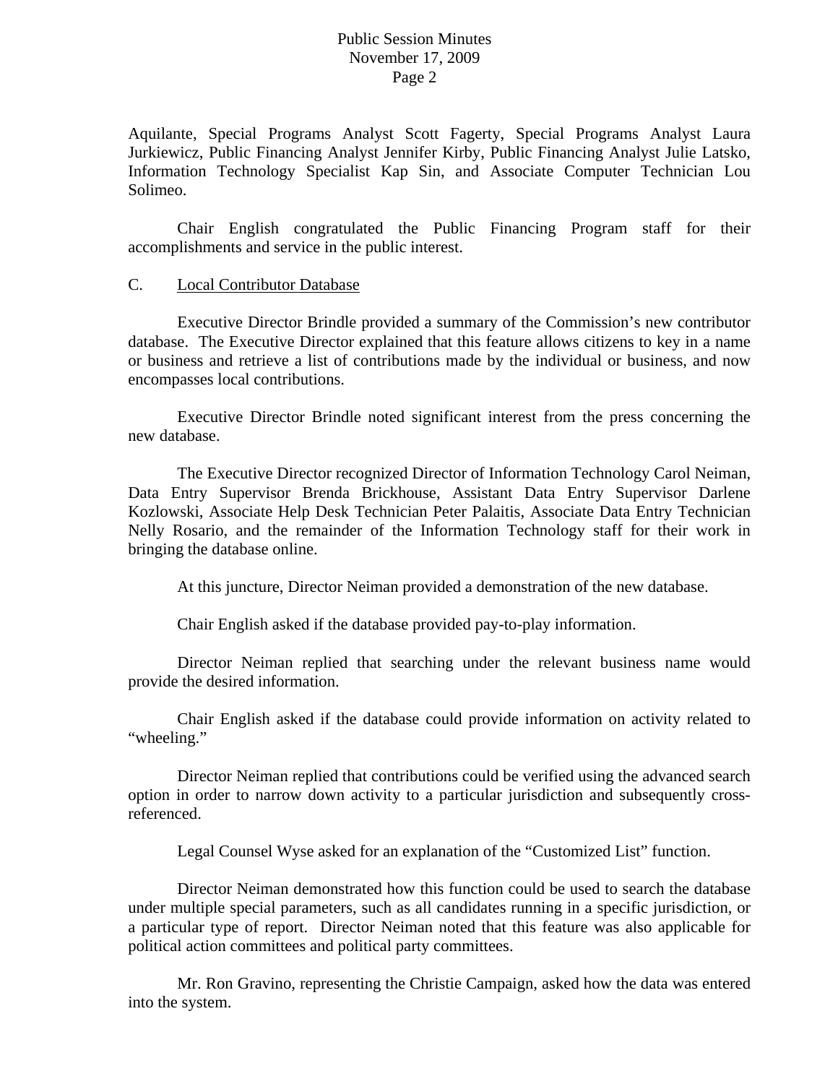Aquilante, Special Programs Analyst Scott Fagerty, Special Programs Analyst Laura Jurkiewicz, Public Financing Analyst Jennifer Kirby, Public Financing Analyst Julie Latsko, Information Technology Specialist Kap Sin, and Associate Computer Technician Lou Solimeo.

 Chair English congratulated the Public Financing Program staff for their accomplishments and service in the public interest.

#### C. Local Contributor Database

 Executive Director Brindle provided a summary of the Commission's new contributor database. The Executive Director explained that this feature allows citizens to key in a name or business and retrieve a list of contributions made by the individual or business, and now encompasses local contributions.

 Executive Director Brindle noted significant interest from the press concerning the new database.

 The Executive Director recognized Director of Information Technology Carol Neiman, Data Entry Supervisor Brenda Brickhouse, Assistant Data Entry Supervisor Darlene Kozlowski, Associate Help Desk Technician Peter Palaitis, Associate Data Entry Technician Nelly Rosario, and the remainder of the Information Technology staff for their work in bringing the database online.

At this juncture, Director Neiman provided a demonstration of the new database.

Chair English asked if the database provided pay-to-play information.

 Director Neiman replied that searching under the relevant business name would provide the desired information.

 Chair English asked if the database could provide information on activity related to "wheeling."

 Director Neiman replied that contributions could be verified using the advanced search option in order to narrow down activity to a particular jurisdiction and subsequently crossreferenced.

Legal Counsel Wyse asked for an explanation of the "Customized List" function.

 Director Neiman demonstrated how this function could be used to search the database under multiple special parameters, such as all candidates running in a specific jurisdiction, or a particular type of report. Director Neiman noted that this feature was also applicable for political action committees and political party committees.

 Mr. Ron Gravino, representing the Christie Campaign, asked how the data was entered into the system.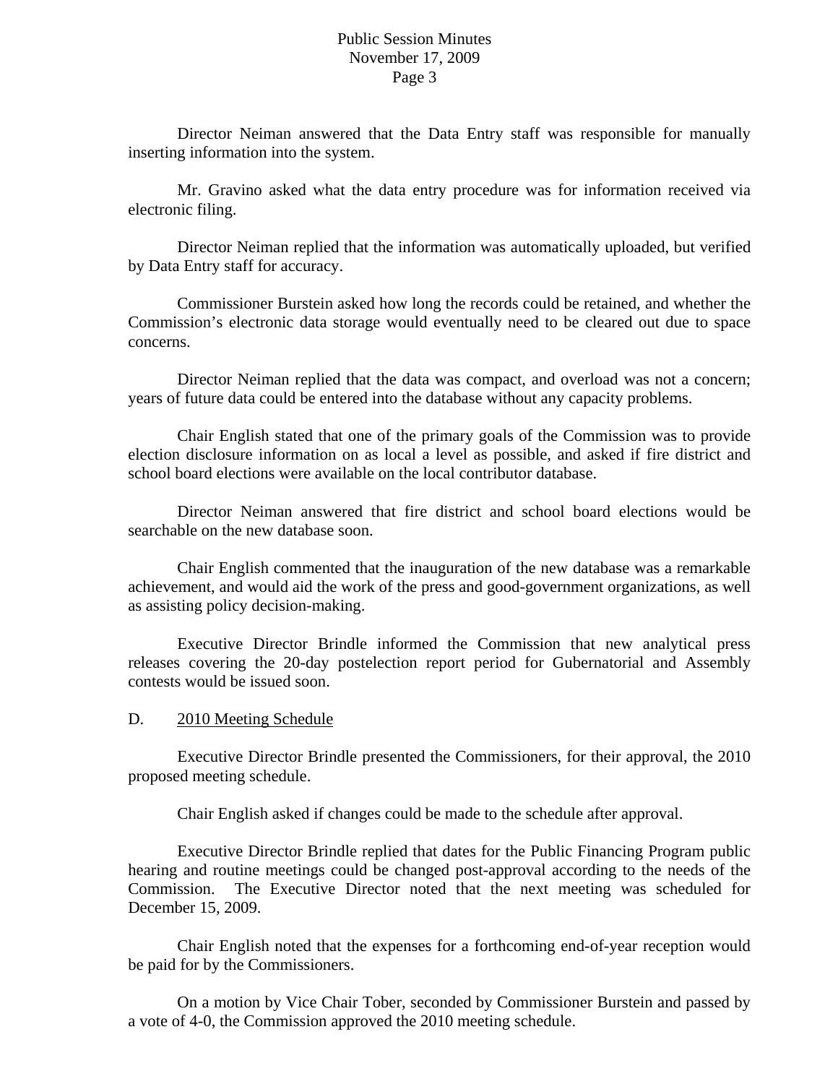Director Neiman answered that the Data Entry staff was responsible for manually inserting information into the system.

 Mr. Gravino asked what the data entry procedure was for information received via electronic filing.

 Director Neiman replied that the information was automatically uploaded, but verified by Data Entry staff for accuracy.

 Commissioner Burstein asked how long the records could be retained, and whether the Commission's electronic data storage would eventually need to be cleared out due to space concerns.

 Director Neiman replied that the data was compact, and overload was not a concern; years of future data could be entered into the database without any capacity problems.

 Chair English stated that one of the primary goals of the Commission was to provide election disclosure information on as local a level as possible, and asked if fire district and school board elections were available on the local contributor database.

 Director Neiman answered that fire district and school board elections would be searchable on the new database soon.

 Chair English commented that the inauguration of the new database was a remarkable achievement, and would aid the work of the press and good-government organizations, as well as assisting policy decision-making.

 Executive Director Brindle informed the Commission that new analytical press releases covering the 20-day postelection report period for Gubernatorial and Assembly contests would be issued soon.

#### D. 2010 Meeting Schedule

 Executive Director Brindle presented the Commissioners, for their approval, the 2010 proposed meeting schedule.

Chair English asked if changes could be made to the schedule after approval.

 Executive Director Brindle replied that dates for the Public Financing Program public hearing and routine meetings could be changed post-approval according to the needs of the Commission. The Executive Director noted that the next meeting was scheduled for December 15, 2009.

 Chair English noted that the expenses for a forthcoming end-of-year reception would be paid for by the Commissioners.

 On a motion by Vice Chair Tober, seconded by Commissioner Burstein and passed by a vote of 4-0, the Commission approved the 2010 meeting schedule.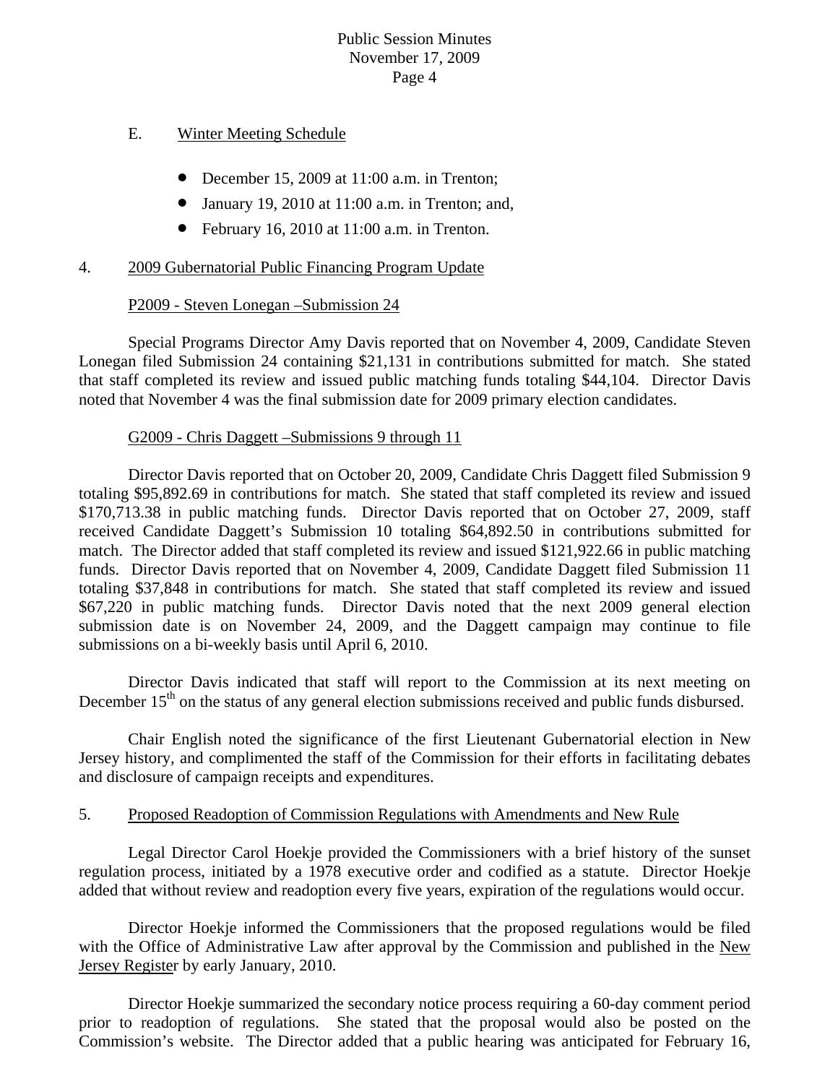# E. Winter Meeting Schedule

- December 15, 2009 at 11:00 a.m. in Trenton;
- January 19, 2010 at 11:00 a.m. in Trenton; and,
- February 16, 2010 at 11:00 a.m. in Trenton.

# 4. 2009 Gubernatorial Public Financing Program Update

# P2009 - Steven Lonegan –Submission 24

 Special Programs Director Amy Davis reported that on November 4, 2009, Candidate Steven Lonegan filed Submission 24 containing \$21,131 in contributions submitted for match. She stated that staff completed its review and issued public matching funds totaling \$44,104. Director Davis noted that November 4 was the final submission date for 2009 primary election candidates.

# G2009 - Chris Daggett –Submissions 9 through 11

 Director Davis reported that on October 20, 2009, Candidate Chris Daggett filed Submission 9 totaling \$95,892.69 in contributions for match. She stated that staff completed its review and issued \$170,713.38 in public matching funds. Director Davis reported that on October 27, 2009, staff received Candidate Daggett's Submission 10 totaling \$64,892.50 in contributions submitted for match. The Director added that staff completed its review and issued \$121,922.66 in public matching funds. Director Davis reported that on November 4, 2009, Candidate Daggett filed Submission 11 totaling \$37,848 in contributions for match. She stated that staff completed its review and issued \$67,220 in public matching funds. Director Davis noted that the next 2009 general election submission date is on November 24, 2009, and the Daggett campaign may continue to file submissions on a bi-weekly basis until April 6, 2010.

 Director Davis indicated that staff will report to the Commission at its next meeting on December 15<sup>th</sup> on the status of any general election submissions received and public funds disbursed.

 Chair English noted the significance of the first Lieutenant Gubernatorial election in New Jersey history, and complimented the staff of the Commission for their efforts in facilitating debates and disclosure of campaign receipts and expenditures.

#### 5. Proposed Readoption of Commission Regulations with Amendments and New Rule

 Legal Director Carol Hoekje provided the Commissioners with a brief history of the sunset regulation process, initiated by a 1978 executive order and codified as a statute. Director Hoekje added that without review and readoption every five years, expiration of the regulations would occur.

 Director Hoekje informed the Commissioners that the proposed regulations would be filed with the Office of Administrative Law after approval by the Commission and published in the New Jersey Register by early January, 2010.

 Director Hoekje summarized the secondary notice process requiring a 60-day comment period prior to readoption of regulations. She stated that the proposal would also be posted on the Commission's website. The Director added that a public hearing was anticipated for February 16,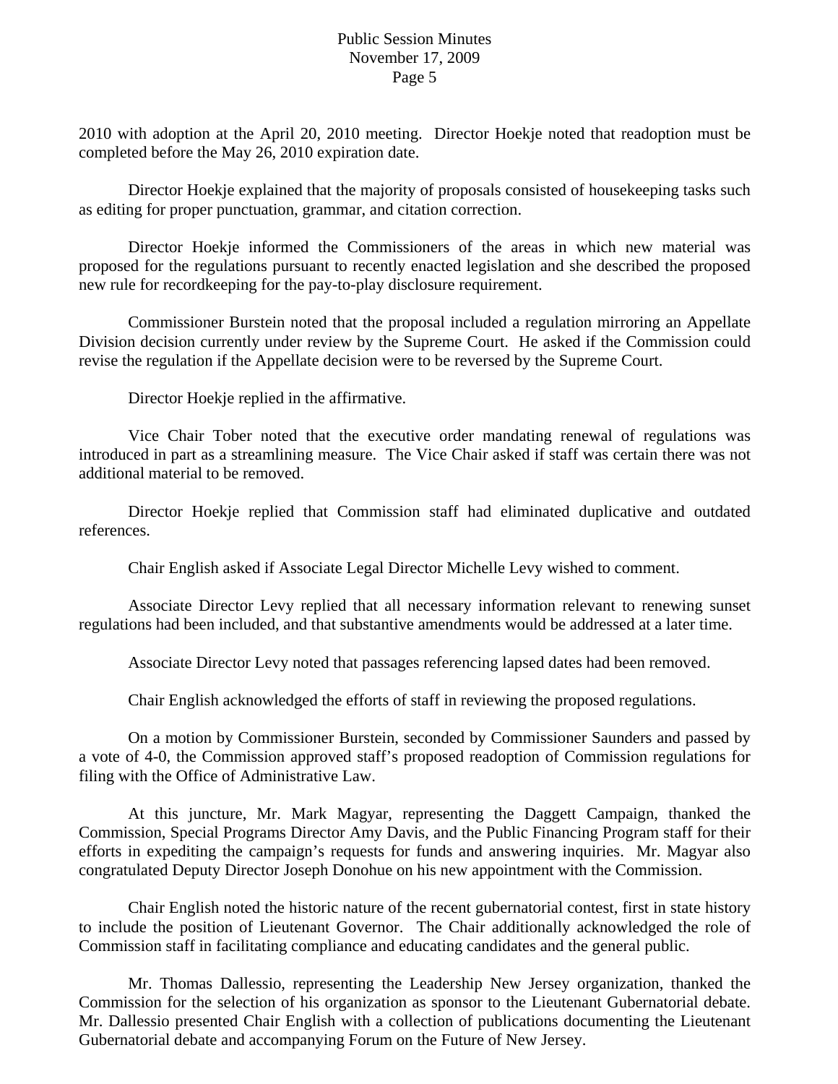2010 with adoption at the April 20, 2010 meeting. Director Hoekje noted that readoption must be completed before the May 26, 2010 expiration date.

 Director Hoekje explained that the majority of proposals consisted of housekeeping tasks such as editing for proper punctuation, grammar, and citation correction.

 Director Hoekje informed the Commissioners of the areas in which new material was proposed for the regulations pursuant to recently enacted legislation and she described the proposed new rule for recordkeeping for the pay-to-play disclosure requirement.

 Commissioner Burstein noted that the proposal included a regulation mirroring an Appellate Division decision currently under review by the Supreme Court. He asked if the Commission could revise the regulation if the Appellate decision were to be reversed by the Supreme Court.

Director Hoekje replied in the affirmative.

 Vice Chair Tober noted that the executive order mandating renewal of regulations was introduced in part as a streamlining measure. The Vice Chair asked if staff was certain there was not additional material to be removed.

 Director Hoekje replied that Commission staff had eliminated duplicative and outdated references.

Chair English asked if Associate Legal Director Michelle Levy wished to comment.

 Associate Director Levy replied that all necessary information relevant to renewing sunset regulations had been included, and that substantive amendments would be addressed at a later time.

Associate Director Levy noted that passages referencing lapsed dates had been removed.

Chair English acknowledged the efforts of staff in reviewing the proposed regulations.

 On a motion by Commissioner Burstein, seconded by Commissioner Saunders and passed by a vote of 4-0, the Commission approved staff's proposed readoption of Commission regulations for filing with the Office of Administrative Law.

 At this juncture, Mr. Mark Magyar, representing the Daggett Campaign, thanked the Commission, Special Programs Director Amy Davis, and the Public Financing Program staff for their efforts in expediting the campaign's requests for funds and answering inquiries. Mr. Magyar also congratulated Deputy Director Joseph Donohue on his new appointment with the Commission.

 Chair English noted the historic nature of the recent gubernatorial contest, first in state history to include the position of Lieutenant Governor. The Chair additionally acknowledged the role of Commission staff in facilitating compliance and educating candidates and the general public.

 Mr. Thomas Dallessio, representing the Leadership New Jersey organization, thanked the Commission for the selection of his organization as sponsor to the Lieutenant Gubernatorial debate. Mr. Dallessio presented Chair English with a collection of publications documenting the Lieutenant Gubernatorial debate and accompanying Forum on the Future of New Jersey.